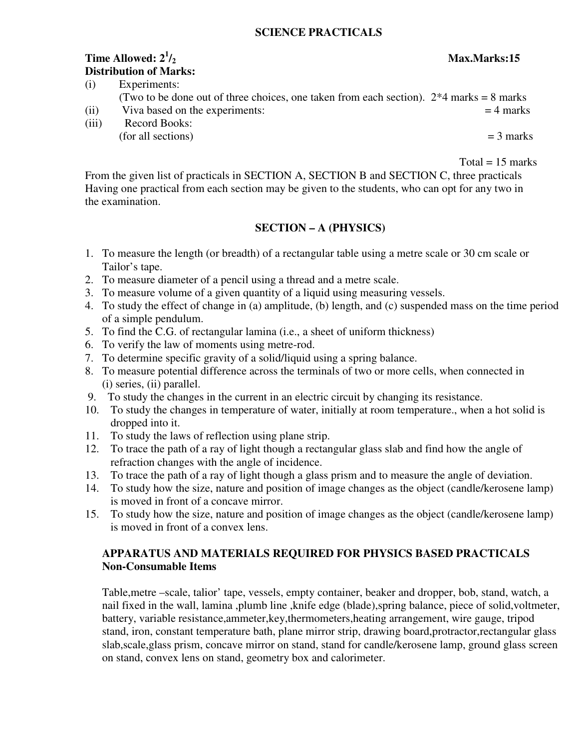#### **SCIENCE PRACTICALS**

# **Time Allowed:**  $2^1/2$ **Distribution of Marks:**

| (i) | Experiments:                                                                              |  |
|-----|-------------------------------------------------------------------------------------------|--|
|     | (Two to be done out of three choices, one taken from each section). $2*4$ marks = 8 marks |  |
|     |                                                                                           |  |

- (ii) Viva based on the experiments:  $= 4$  marks
- (iii) Record Books:  $($ for all sections)  $=$  3 marks

 $Total = 15$  marks

From the given list of practicals in SECTION A, SECTION B and SECTION C, three practicals Having one practical from each section may be given to the students, who can opt for any two in the examination.

### **SECTION – A (PHYSICS)**

- 1. To measure the length (or breadth) of a rectangular table using a metre scale or 30 cm scale or Tailor's tape.
- 2. To measure diameter of a pencil using a thread and a metre scale.
- 3. To measure volume of a given quantity of a liquid using measuring vessels.
- 4. To study the effect of change in (a) amplitude, (b) length, and (c) suspended mass on the time period of a simple pendulum.
- 5. To find the C.G. of rectangular lamina (i.e., a sheet of uniform thickness)
- 6. To verify the law of moments using metre-rod.
- 7. To determine specific gravity of a solid/liquid using a spring balance.
- 8. To measure potential difference across the terminals of two or more cells, when connected in (i) series, (ii) parallel.
- 9. To study the changes in the current in an electric circuit by changing its resistance.
- 10. To study the changes in temperature of water, initially at room temperature., when a hot solid is dropped into it.
- 11. To study the laws of reflection using plane strip.
- 12. To trace the path of a ray of light though a rectangular glass slab and find how the angle of refraction changes with the angle of incidence.
- 13. To trace the path of a ray of light though a glass prism and to measure the angle of deviation.
- 14. To study how the size, nature and position of image changes as the object (candle/kerosene lamp) is moved in front of a concave mirror.
- 15. To study how the size, nature and position of image changes as the object (candle/kerosene lamp) is moved in front of a convex lens.

### **APPARATUS AND MATERIALS REQUIRED FOR PHYSICS BASED PRACTICALS Non-Consumable Items**

Table,metre –scale, talior' tape, vessels, empty container, beaker and dropper, bob, stand, watch, a nail fixed in the wall, lamina ,plumb line ,knife edge (blade),spring balance, piece of solid,voltmeter, battery, variable resistance,ammeter,key,thermometers,heating arrangement, wire gauge, tripod stand, iron, constant temperature bath, plane mirror strip, drawing board,protractor,rectangular glass slab,scale,glass prism, concave mirror on stand, stand for candle/kerosene lamp, ground glass screen on stand, convex lens on stand, geometry box and calorimeter.

#### **/2 Max.Marks:15**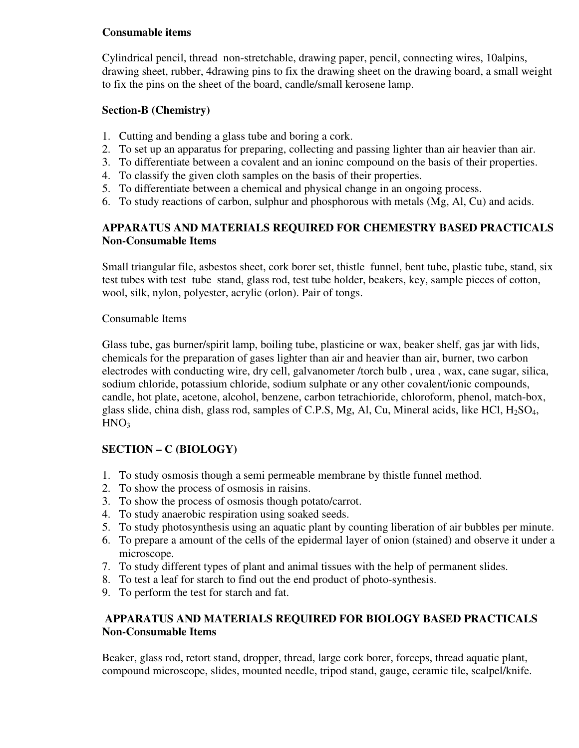### **Consumable items**

Cylindrical pencil, thread non-stretchable, drawing paper, pencil, connecting wires, 10alpins, drawing sheet, rubber, 4drawing pins to fix the drawing sheet on the drawing board, a small weight to fix the pins on the sheet of the board, candle/small kerosene lamp.

### **Section-B (Chemistry)**

- 1. Cutting and bending a glass tube and boring a cork.
- 2. To set up an apparatus for preparing, collecting and passing lighter than air heavier than air.
- 3. To differentiate between a covalent and an ioninc compound on the basis of their properties.
- 4. To classify the given cloth samples on the basis of their properties.
- 5. To differentiate between a chemical and physical change in an ongoing process.
- 6. To study reactions of carbon, sulphur and phosphorous with metals (Mg, Al, Cu) and acids.

## **APPARATUS AND MATERIALS REQUIRED FOR CHEMESTRY BASED PRACTICALS Non-Consumable Items**

Small triangular file, asbestos sheet, cork borer set, thistle funnel, bent tube, plastic tube, stand, six test tubes with test tube stand, glass rod, test tube holder, beakers, key, sample pieces of cotton, wool, silk, nylon, polyester, acrylic (orlon). Pair of tongs.

### Consumable Items

Glass tube, gas burner/spirit lamp, boiling tube, plasticine or wax, beaker shelf, gas jar with lids, chemicals for the preparation of gases lighter than air and heavier than air, burner, two carbon electrodes with conducting wire, dry cell, galvanometer /torch bulb , urea , wax, cane sugar, silica, sodium chloride, potassium chloride, sodium sulphate or any other covalent/ionic compounds, candle, hot plate, acetone, alcohol, benzene, carbon tetrachioride, chloroform, phenol, match-box, glass slide, china dish, glass rod, samples of C.P.S, Mg, Al, Cu, Mineral acids, like HCl,  $H_2SO_4$ ,  $HNO<sub>3</sub>$ 

# **SECTION – C (BIOLOGY)**

- 1. To study osmosis though a semi permeable membrane by thistle funnel method.
- 2. To show the process of osmosis in raisins.
- 3. To show the process of osmosis though potato/carrot.
- 4. To study anaerobic respiration using soaked seeds.
- 5. To study photosynthesis using an aquatic plant by counting liberation of air bubbles per minute.
- 6. To prepare a amount of the cells of the epidermal layer of onion (stained) and observe it under a microscope.
- 7. To study different types of plant and animal tissues with the help of permanent slides.
- 8. To test a leaf for starch to find out the end product of photo-synthesis.
- 9. To perform the test for starch and fat.

# **APPARATUS AND MATERIALS REQUIRED FOR BIOLOGY BASED PRACTICALS Non-Consumable Items**

Beaker, glass rod, retort stand, dropper, thread, large cork borer, forceps, thread aquatic plant, compound microscope, slides, mounted needle, tripod stand, gauge, ceramic tile, scalpel/knife.